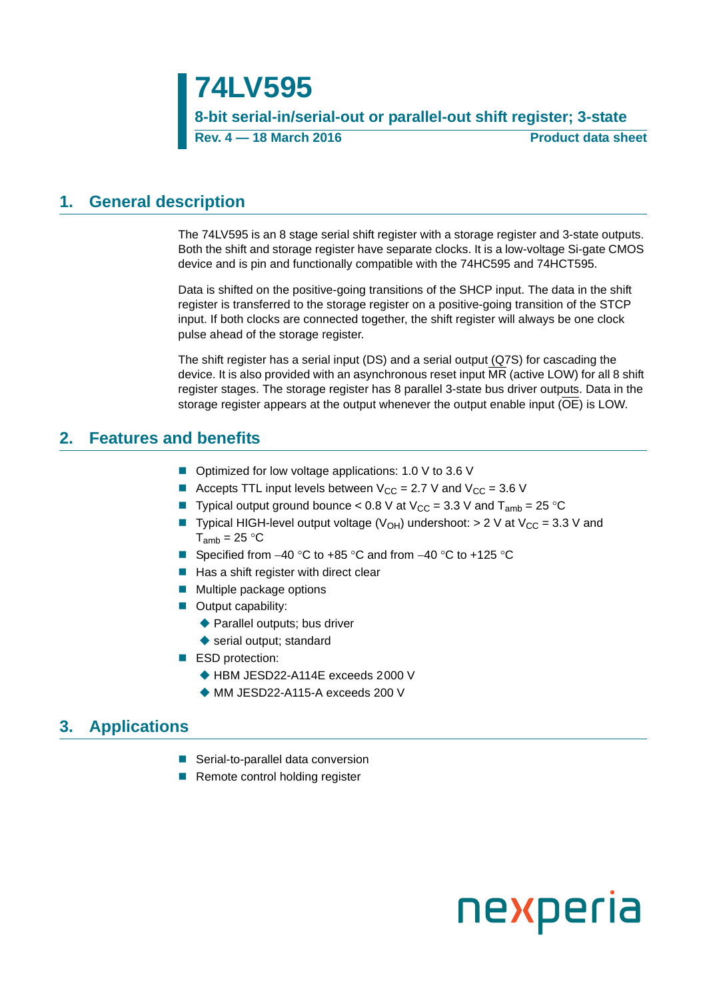**74LV595 8-bit serial-in/serial-out or parallel-out shift register; 3-state Rev. 4 — 18 March 2016 Product data sheet**

### <span id="page-0-0"></span>**1. General description**

The 74LV595 is an 8 stage serial shift register with a storage register and 3-state outputs. Both the shift and storage register have separate clocks. It is a low-voltage Si-gate CMOS device and is pin and functionally compatible with the 74HC595 and 74HCT595.

Data is shifted on the positive-going transitions of the SHCP input. The data in the shift register is transferred to the storage register on a positive-going transition of the STCP input. If both clocks are connected together, the shift register will always be one clock pulse ahead of the storage register.

The shift register has a serial input (DS) and a serial output (Q7S) for cascading the device. It is also provided with an asynchronous reset input MR (active LOW) for all 8 shift register stages. The storage register has 8 parallel 3-state bus driver outputs. Data in the storage register appears at the output whenever the output enable input (OE) is LOW.

### <span id="page-0-1"></span>**2. Features and benefits**

- Optimized for low voltage applications: 1.0 V to 3.6 V
- Accepts TTL input levels between  $V_{CC} = 2.7$  V and  $V_{CC} = 3.6$  V
- Typical output ground bounce < 0.8 V at  $V_{CC} = 3.3$  V and  $T_{amb} = 25$  °C
- Typical HIGH-level output voltage (V<sub>OH</sub>) undershoot: > 2 V at V<sub>CC</sub> = 3.3 V and  $T_{amb}$  = 25 °C
- Specified from  $-40$  °C to  $+85$  °C and from  $-40$  °C to  $+125$  °C
- $\blacksquare$  Has a shift register with direct clear
- **Multiple package options**
- **Output capability:** 
	- ◆ Parallel outputs; bus driver
	- ◆ serial output; standard
- ESD protection:
	- ◆ HBM JESD22-A114E exceeds 2000 V
	- ◆ MM JESD22-A115-A exceeds 200 V

### <span id="page-0-2"></span>**3. Applications**

- Serial-to-parallel data conversion
- Remote control holding register

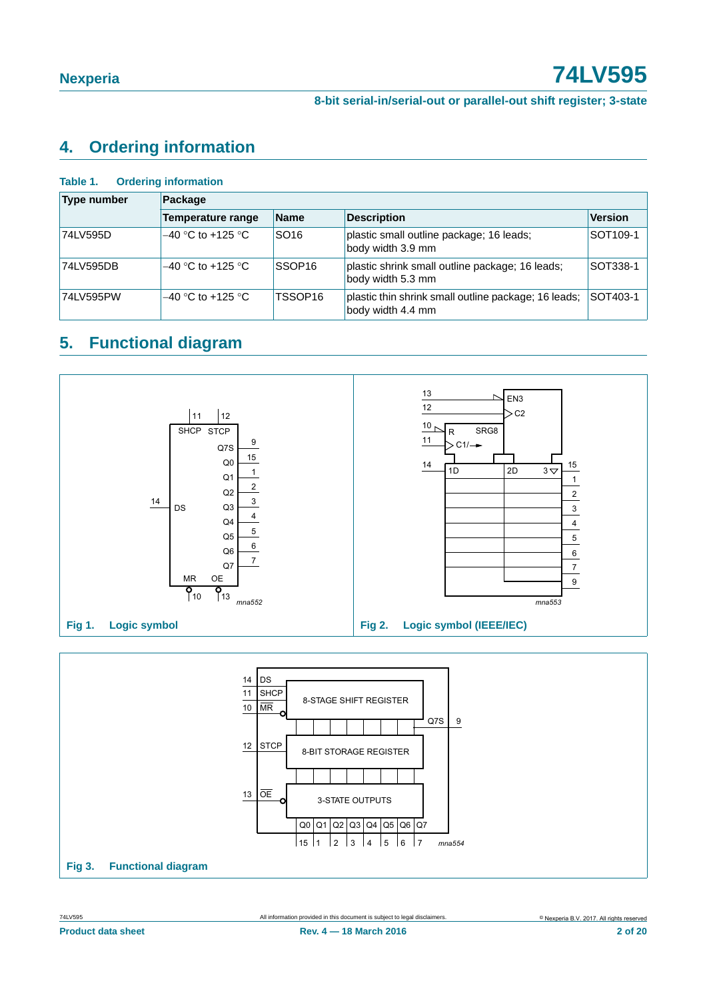# <span id="page-1-0"></span>**4. Ordering information**

| <b>Type number</b> | Package              |                     |                                                                           |                |  |  |  |  |  |
|--------------------|----------------------|---------------------|---------------------------------------------------------------------------|----------------|--|--|--|--|--|
|                    | Temperature range    | <b>Name</b>         | <b>Description</b>                                                        | <b>Version</b> |  |  |  |  |  |
| 74LV595D           | $-40$ °C to +125 °C  | SO <sub>16</sub>    | plastic small outline package; 16 leads;<br>body width 3.9 mm             | SOT109-1       |  |  |  |  |  |
| 74LV595DB          | $-40$ °C to +125 °C  | SSOP <sub>16</sub>  | plastic shrink small outline package; 16 leads;<br>body width 5.3 mm      | SOT338-1       |  |  |  |  |  |
| 74LV595PW          | $-40$ °C to +125 °C. | TSSOP <sub>16</sub> | plastic thin shrink small outline package; 16 leads;<br>body width 4.4 mm | SOT403-1       |  |  |  |  |  |

### **Table 1. Ordering information**

# <span id="page-1-1"></span>**5. Functional diagram**



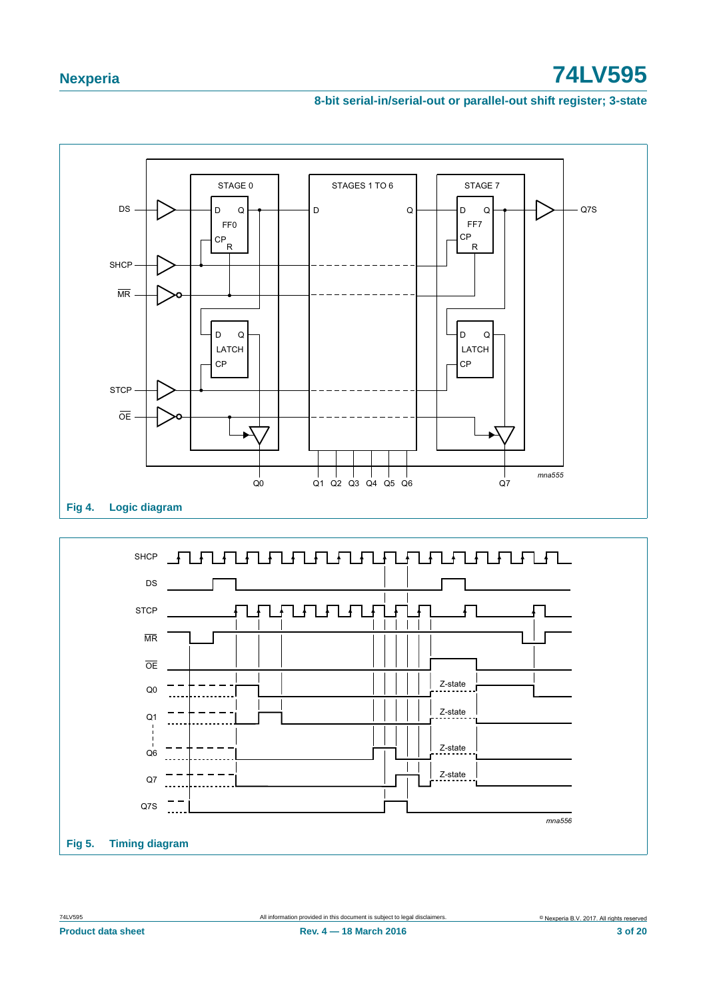### **8-bit serial-in/serial-out or parallel-out shift register; 3-state**



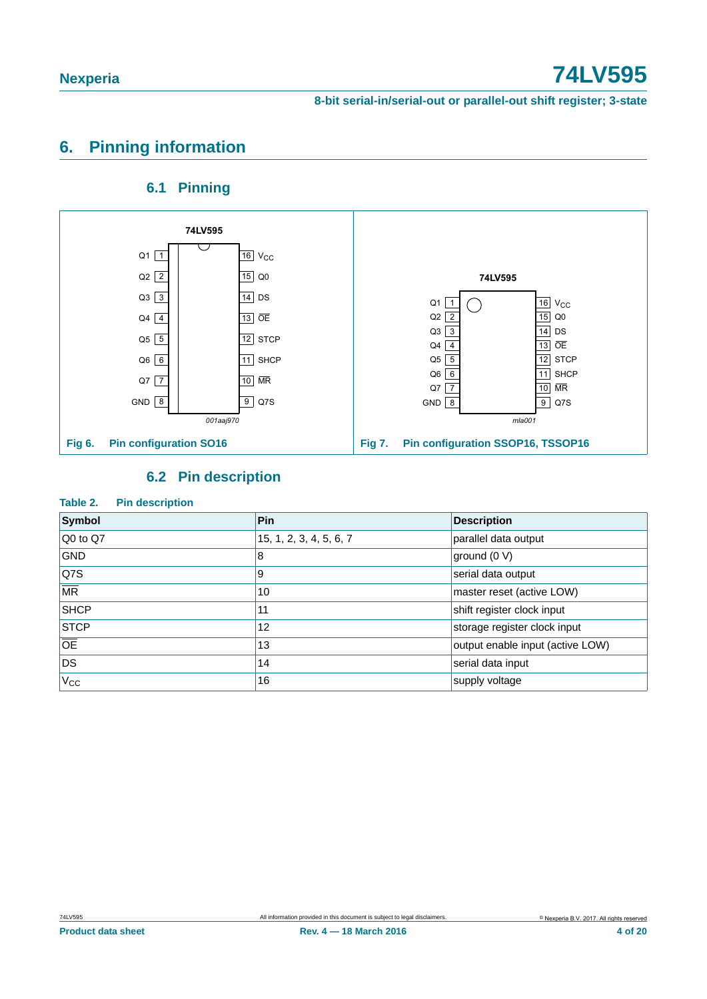# <span id="page-3-0"></span>**6. Pinning information**

### **6.1 Pinning**

<span id="page-3-1"></span>

### **6.2 Pin description**

### <span id="page-3-2"></span>**Table 2. Pin description**

| Symbol                   | <b>Pin</b>              | <b>Description</b>               |
|--------------------------|-------------------------|----------------------------------|
| Q0 to Q7                 | 15, 1, 2, 3, 4, 5, 6, 7 | parallel data output             |
| <b>GND</b>               | 8                       | ground (0 V)                     |
| Q7S                      | 9                       | serial data output               |
| $\overline{\mathsf{MR}}$ | 10                      | master reset (active LOW)        |
| <b>SHCP</b>              | 11                      | shift register clock input       |
| <b>STCP</b>              | 12                      | storage register clock input     |
| $\overline{OE}$          | 13                      | output enable input (active LOW) |
| DS                       | 14                      | serial data input                |
| V <sub>CC</sub>          | 16                      | supply voltage                   |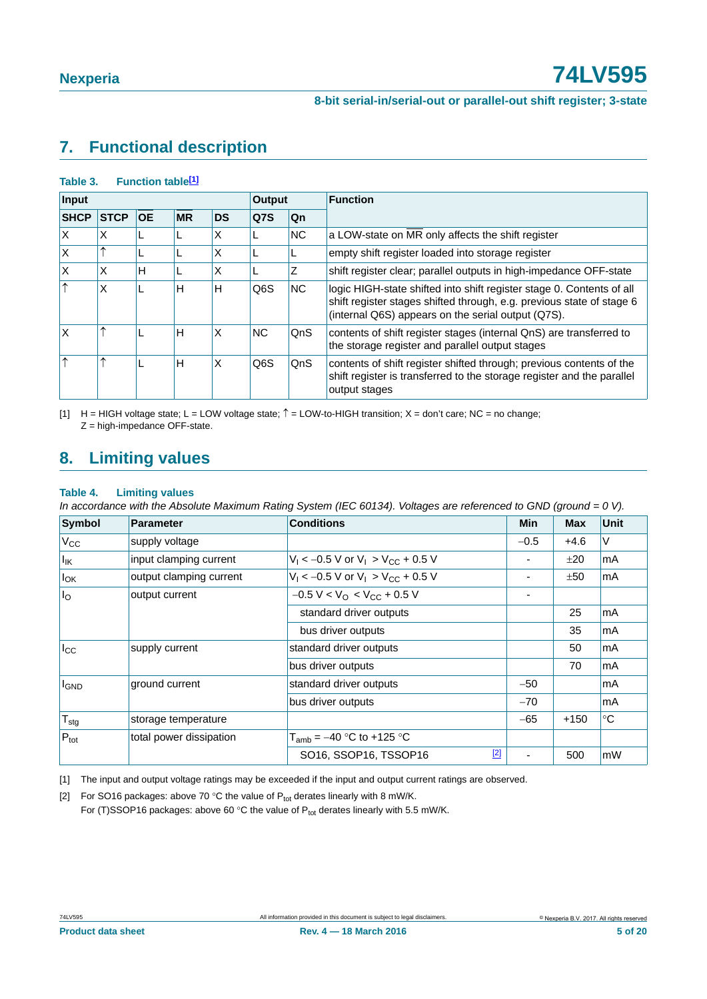# <span id="page-4-2"></span>**7. Functional description**

| Input       |             |           |           |           | <b>Output</b>    |                | <b>Function</b>                                                                                                                                                                                      |
|-------------|-------------|-----------|-----------|-----------|------------------|----------------|------------------------------------------------------------------------------------------------------------------------------------------------------------------------------------------------------|
| <b>SHCP</b> | <b>STCP</b> | <b>OE</b> | <b>MR</b> | <b>DS</b> | Q7S              | Qn             |                                                                                                                                                                                                      |
| ΙX          | X           | L         |           | X         |                  | NC.            | a LOW-state on MR only affects the shift register                                                                                                                                                    |
| ΙX          |             | L         |           | X         |                  |                | empty shift register loaded into storage register                                                                                                                                                    |
| ΙX          | X           | н         |           | Χ         |                  | Z              | shift register clear; parallel outputs in high-impedance OFF-state                                                                                                                                   |
| $\uparrow$  | X           |           | н         | Н         | Q <sub>6</sub> S | N <sub>C</sub> | logic HIGH-state shifted into shift register stage 0. Contents of all<br>shift register stages shifted through, e.g. previous state of stage 6<br>(internal Q6S) appears on the serial output (Q7S). |
| ΙX          |             |           | н         | X         | <b>NC</b>        | QnS            | contents of shift register stages (internal QnS) are transferred to<br>the storage register and parallel output stages                                                                               |
|             | ᠰ           |           | н         | Χ         | Q <sub>6</sub> S | QnS            | contents of shift register shifted through; previous contents of the<br>shift register is transferred to the storage register and the parallel<br>output stages                                      |

#### Table 3. Function table<sup>[1]</sup>

<span id="page-4-0"></span>[1] H = HIGH voltage state; L = LOW voltage state; = LOW-to-HIGH transition; X = don't care; NC = no change; Z = high-impedance OFF-state.

### <span id="page-4-3"></span>**8. Limiting values**

### **Table 4. Limiting values**

*In accordance with the Absolute Maximum Rating System (IEC 60134). Voltages are referenced to GND (ground = 0 V).*

| <b>Symbol</b>         | <b>Parameter</b>        | <b>Conditions</b>                        |       | Min    | <b>Max</b> | Unit      |
|-----------------------|-------------------------|------------------------------------------|-------|--------|------------|-----------|
| <b>V<sub>cc</sub></b> | supply voltage          |                                          |       | $-0.5$ | $+4.6$     | V         |
| $I_{\mathsf{IK}}$     | input clamping current  | $V_1 < -0.5$ V or $V_1 > V_{CC} + 0.5$ V |       |        | ±20        | mA        |
| $I_{OK}$              | output clamping current | $V_1 < -0.5$ V or $V_1 > V_{CC} + 0.5$ V |       |        | ±50        | <b>mA</b> |
| I <sub>O</sub>        | output current          | $-0.5 V < VO < VCC + 0.5 V$              |       |        |            |           |
|                       |                         | standard driver outputs                  |       |        |            |           |
|                       |                         | bus driver outputs                       |       |        |            |           |
| $I_{\rm CC}$          | supply current          | standard driver outputs                  |       |        |            |           |
|                       |                         | bus driver outputs                       |       |        |            | <b>mA</b> |
| <b>I</b> GND          | ground current          | standard driver outputs                  |       | $-50$  |            | mA        |
|                       |                         | bus driver outputs                       |       | $-70$  |            | l mA      |
| $T_{\text{stg}}$      | storage temperature     |                                          |       | $-65$  | $+150$     | ∣°C       |
| $P_{\text{tot}}$      | total power dissipation | $T_{amb} = -40$ °C to +125 °C            |       |        |            |           |
|                       |                         | SO16, SSOP16, TSSOP16                    | $[2]$ |        | 500        | <b>mW</b> |

[1] The input and output voltage ratings may be exceeded if the input and output current ratings are observed.

<span id="page-4-1"></span>[2] For SO16 packages: above 70 °C the value of  $P_{tot}$  derates linearly with 8 mW/K. For (T)SSOP16 packages: above 60 °C the value of  $P_{tot}$  derates linearly with 5.5 mW/K.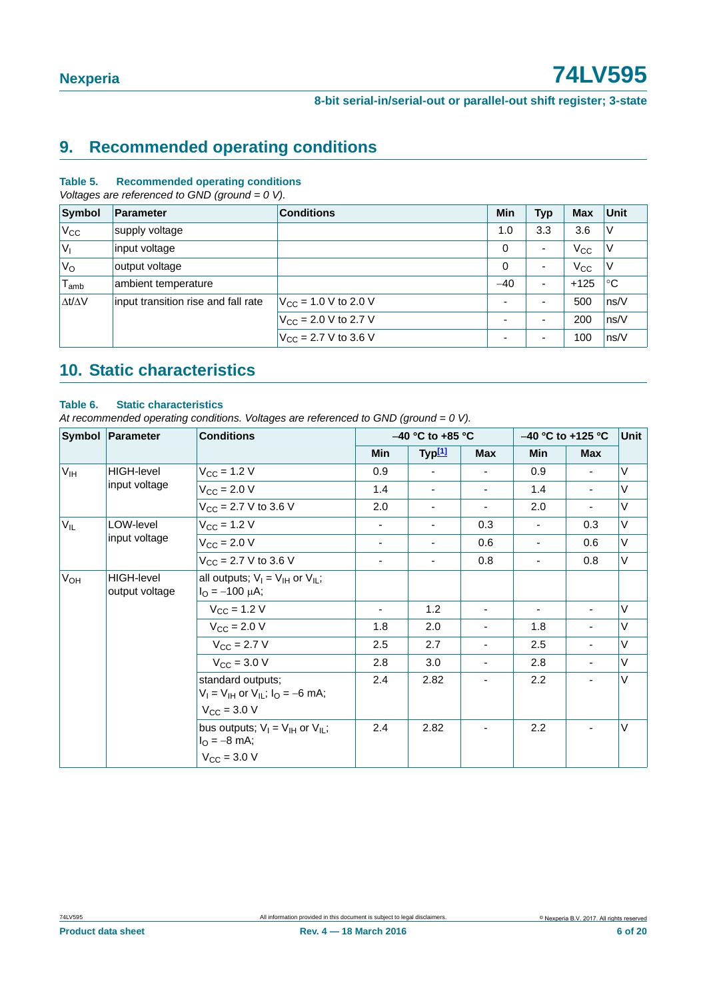# <span id="page-5-0"></span>**9. Recommended operating conditions**

### **Table 5. Recommended operating conditions**

*Voltages are referenced to GND (ground = 0 V).*

| Symbol              | <b>Parameter</b>                    | <b>Conditions</b>                        | Min                      | <b>Typ</b>               | <b>Max</b> | <b>Unit</b> |
|---------------------|-------------------------------------|------------------------------------------|--------------------------|--------------------------|------------|-------------|
| $V_{\rm CC}$        | supply voltage                      |                                          | 1.0                      | 3.3                      | 3.6        | V           |
| $ V_1$              | input voltage                       |                                          | 0                        | ٠                        | $V_{CC}$   | V           |
| $V_{\rm O}$         | output voltage                      |                                          | 0                        | ٠                        | $V_{CC}$   | V           |
| $T_{amb}$           | ambient temperature                 |                                          | $-40$                    | ٠                        | $+125$     | $^{\circ}C$ |
| $\Delta t/\Delta V$ | input transition rise and fall rate | $V_{\text{CC}}$ = 1.0 V to 2.0 V         |                          | ۰                        | 500        | ns/V        |
|                     |                                     | $V_{\text{CC}} = 2.0 \text{ V}$ to 2.7 V | $\overline{\phantom{a}}$ | $\overline{\phantom{0}}$ | 200        | ns/V        |
|                     |                                     | $V_{\text{CC}} = 2.7 \text{ V}$ to 3.6 V |                          | ٠                        | 100        | ns/V        |

# <span id="page-5-1"></span>**10. Static characteristics**

### **Table 6. Static characteristics**

*At recommended operating conditions. Voltages are referenced to GND (ground = 0 V).*

|                 | Symbol Parameter             | <b>Conditions</b>                                                                                     |                          | $-40$ °C to +85 °C       |                          | $-40$ °C to +125 °C      | Unit                     |        |
|-----------------|------------------------------|-------------------------------------------------------------------------------------------------------|--------------------------|--------------------------|--------------------------|--------------------------|--------------------------|--------|
|                 |                              |                                                                                                       | <b>Min</b>               | Typ <sup>[1]</sup>       | <b>Max</b>               | Min                      | <b>Max</b>               |        |
| $V_{IH}$        | HIGH-level                   | $V_{CC}$ = 1.2 V                                                                                      | 0.9                      |                          | $\overline{\phantom{a}}$ | 0.9                      |                          | V      |
|                 | input voltage                | $V_{CC}$ = 2.0 V                                                                                      | 1.4                      | $\overline{\phantom{a}}$ | $\blacksquare$           | 1.4                      | $\blacksquare$           | V      |
|                 |                              | $V_{CC}$ = 2.7 V to 3.6 V                                                                             | 2.0                      | ٠                        | $\overline{\phantom{a}}$ | 2.0                      | $\overline{\phantom{a}}$ | V      |
| $V_{IL}$        | LOW-level                    | $V_{CC}$ = 1.2 V                                                                                      | $\overline{\phantom{0}}$ | $\overline{\phantom{0}}$ | 0.3                      | $\overline{\phantom{a}}$ | 0.3                      | V      |
|                 | input voltage                | $V_{CC}$ = 2.0 V                                                                                      | ۰.                       | ٠                        | 0.6                      | $\overline{\phantom{a}}$ | 0.6                      | V      |
|                 |                              | $V_{CC}$ = 2.7 V to 3.6 V                                                                             |                          |                          | 0.8                      |                          | 0.8                      | V      |
| V <sub>OH</sub> | HIGH-level<br>output voltage | all outputs; $V_1 = V_{1H}$ or $V_{1I}$ ;<br>$I_{\text{O}} = -100 \mu\text{A}$ ;                      |                          |                          |                          |                          |                          |        |
|                 |                              | $V_{\rm CC} = 1.2 V$                                                                                  |                          | 1.2                      | $\overline{\phantom{a}}$ | $\overline{\phantom{a}}$ | ٠                        | $\vee$ |
|                 |                              | $V_{\rm CC}$ = 2.0 V                                                                                  | 1.8                      | 2.0                      | $\overline{\phantom{a}}$ | 1.8                      | $\overline{\phantom{a}}$ | V      |
|                 |                              | $V_{\rm CC} = 2.7 V$                                                                                  | 2.5                      | 2.7                      | $\overline{\phantom{a}}$ | 2.5                      | ÷,                       | V      |
|                 |                              | $V_{CC} = 3.0 V$                                                                                      | 2.8                      | 3.0                      | $\overline{\phantom{a}}$ | 2.8                      | $\overline{\phantom{a}}$ | V      |
|                 |                              | standard outputs;<br>$V_1 = V_{1H}$ or $V_{1I}$ ; $I_{\Omega} = -6$ mA;<br>$V_{\rm CC}$ = 3.0 V       | 2.4                      | 2.82                     | -                        | 2.2                      |                          | $\vee$ |
|                 |                              | bus outputs; $V_1 = V_{1H}$ or $V_{1I}$ ;<br>$I_{\rm O} = -8 \text{ mA}$ ;<br>$V_{\text{CC}} = 3.0 V$ | 2.4                      | 2.82                     |                          | 2.2                      |                          | $\vee$ |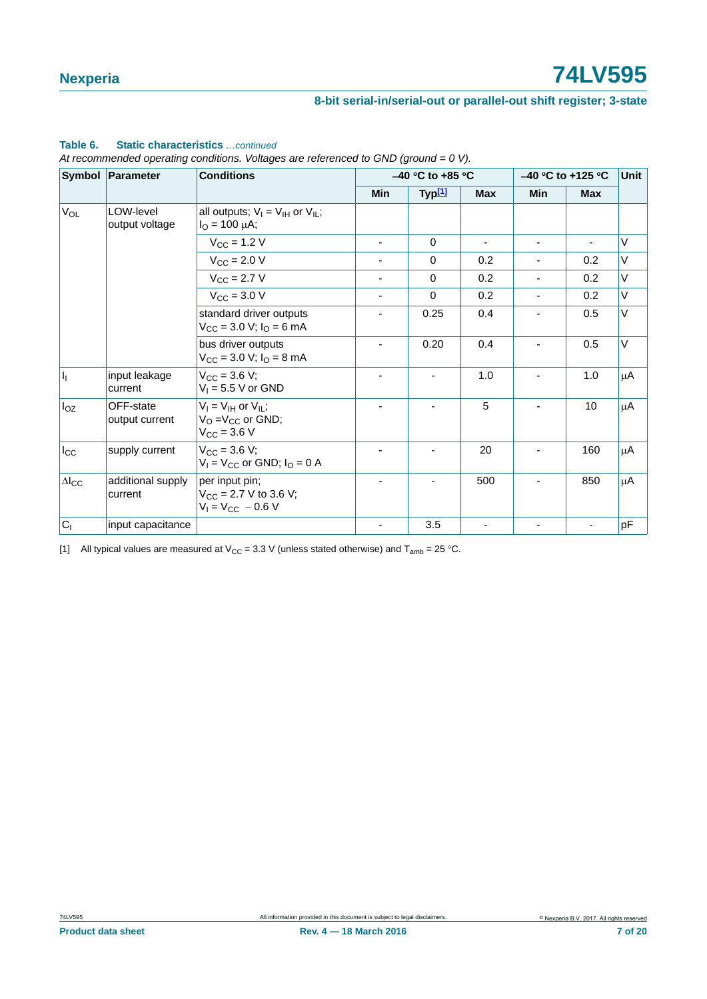|                 | Symbol Parameter             | <b>Conditions</b>                                                                       |                          | $-40$ °C to +85 °C |            |                | $-40$ °C to +125 °C | Unit    |
|-----------------|------------------------------|-----------------------------------------------------------------------------------------|--------------------------|--------------------|------------|----------------|---------------------|---------|
|                 |                              |                                                                                         | <b>Min</b>               | Typ <sup>[1]</sup> | <b>Max</b> | <b>Min</b>     | <b>Max</b>          |         |
| V <sub>OL</sub> | LOW-level<br>output voltage  | all outputs; $V_I = V_{IH}$ or $V_{IL}$ ;<br>$I_{\text{O}} = 100 \mu\text{A}$ ;         |                          |                    |            |                |                     |         |
|                 |                              | $V_{CC}$ = 1.2 V                                                                        |                          | $\mathbf 0$        |            |                |                     | $\vee$  |
|                 |                              | $V_{\text{CC}} = 2.0 V$                                                                 |                          | $\Omega$           | 0.2        |                | 0.2                 | V       |
|                 |                              | $V_{\rm CC} = 2.7 V$                                                                    |                          | $\Omega$           | 0.2        |                | 0.2                 | V       |
|                 |                              | $V_{\rm CC} = 3.0 \text{ V}$                                                            | $\overline{\phantom{a}}$ | $\mathbf 0$        | 0.2        | $\blacksquare$ | 0.2                 | V       |
|                 |                              | standard driver outputs<br>$V_{\text{CC}} = 3.0 \text{ V}; I_{\text{O}} = 6 \text{ mA}$ |                          | 0.25               | 0.4        |                | 0.5                 | $\vee$  |
|                 |                              | bus driver outputs<br>$V_{\text{CC}} = 3.0 \text{ V}; I_{\text{O}} = 8 \text{ mA}$      |                          | 0.20               | 0.4        |                | 0.5                 | V       |
| h               | input leakage<br>current     | $V_{CC}$ = 3.6 V;<br>$V_1 = 5.5$ V or GND                                               |                          |                    | 1.0        |                | 1.0                 | $\mu$ A |
| $I_{OZ}$        | OFF-state<br>output current  | $V_I = V_{IH}$ or $V_{IL}$ ;<br>$V_{\rm O}$ = $V_{\rm CC}$ or GND;<br>$V_{CC}$ = 3.6 V  |                          |                    | 5          |                | 10                  | μA      |
| $I_{\rm CC}$    | supply current               | $V_{CC} = 3.6 V;$<br>$V_1 = V_{CC}$ or GND; $I_Q = 0$ A                                 |                          |                    | 20         |                | 160                 | μA      |
| $\Delta I_{CC}$ | additional supply<br>current | per input pin;<br>$V_{CC}$ = 2.7 V to 3.6 V;<br>$V_1 = V_{CC} - 0.6 V$                  |                          |                    | 500        |                | 850                 | μA      |
| $C_1$           | input capacitance            |                                                                                         |                          | 3.5                |            |                |                     | pF      |

### **Table 6. Static characteristics** *…continued*

*At recommended operating conditions. Voltages are referenced to GND (ground = 0 V).*

<span id="page-6-0"></span>[1] All typical values are measured at V<sub>CC</sub> = 3.3 V (unless stated otherwise) and T<sub>amb</sub> = 25 °C.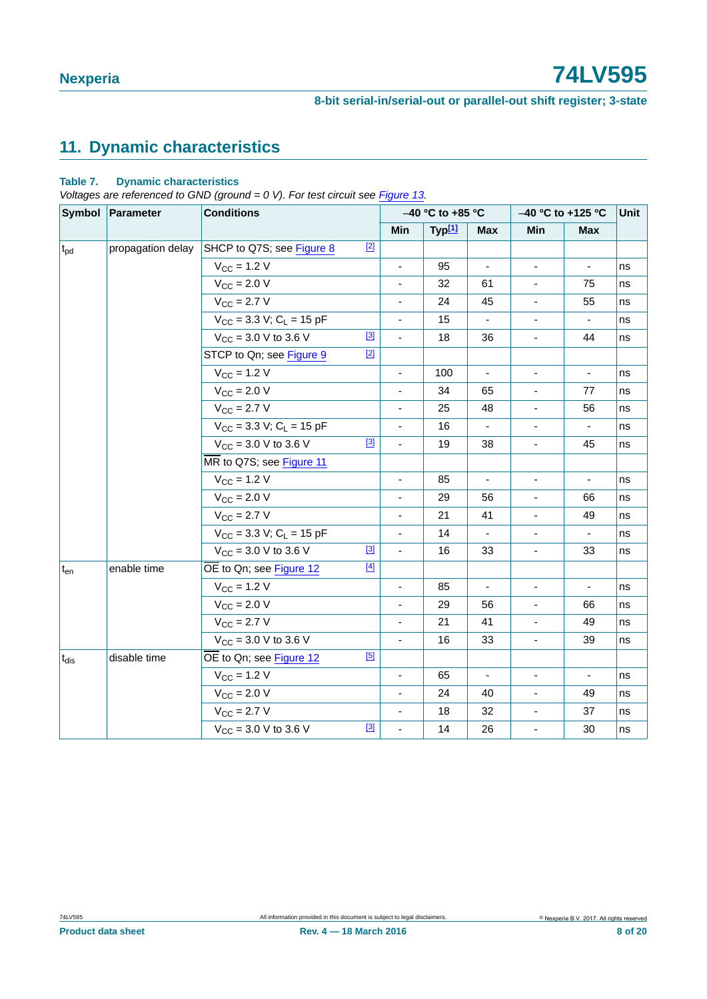# <span id="page-7-0"></span>**11. Dynamic characteristics**

### **Table 7. Dynamic characteristics**

*Voltages are referenced to GND (ground = 0 V). For test circuit see [Figure 13](#page-12-0).* 

|                 | Symbol Parameter  | <b>Conditions</b>                        |       |                              | -40 °C to +85 °C   |                | -40 °C to +125 °C            | Unit           |    |
|-----------------|-------------------|------------------------------------------|-------|------------------------------|--------------------|----------------|------------------------------|----------------|----|
|                 |                   |                                          |       | Min                          | Typ <sup>[1]</sup> | <b>Max</b>     | Min                          | <b>Max</b>     |    |
| t <sub>pd</sub> | propagation delay | SHCP to Q7S; see Figure 8                | [2]   |                              |                    |                |                              |                |    |
|                 |                   | $V_{CC} = 1.2 V$                         |       | ÷,                           | 95                 | $\Box$         | $\blacksquare$               | ÷.             | ns |
|                 |                   | $V_{\text{CC}}$ = 2.0 V                  |       |                              | 32                 | 61             | $\qquad \qquad \blacksquare$ | 75             | ns |
|                 |                   | $V_{\rm CC} = 2.7 V$                     |       | $\frac{1}{2}$                | 24                 | 45             | $\blacksquare$               | 55             | ns |
|                 |                   | $V_{CC}$ = 3.3 V; C <sub>L</sub> = 15 pF |       | $\qquad \qquad \blacksquare$ | 15                 |                | $\qquad \qquad \blacksquare$ | $\blacksquare$ | ns |
|                 |                   | $V_{CC}$ = 3.0 V to 3.6 V                | [3]   | $\overline{\phantom{a}}$     | 18                 | 36             | $\blacksquare$               | 44             | ns |
|                 |                   | STCP to Qn; see Figure 9                 | $[2]$ |                              |                    |                |                              |                |    |
|                 |                   | $V_{CC}$ = 1.2 V                         |       | $\frac{1}{2}$                | 100                | $\blacksquare$ | $\overline{\phantom{a}}$     | $\blacksquare$ | ns |
|                 |                   | $V_{CC}$ = 2.0 V                         |       |                              | 34                 | 65             | $\overline{\phantom{0}}$     | 77             | ns |
|                 |                   | $V_{\rm CC} = 2.7 V$                     |       | ÷,                           | 25                 | 48             | $\blacksquare$               | 56             | ns |
|                 |                   | $V_{CC}$ = 3.3 V; C <sub>L</sub> = 15 pF |       | $\overline{a}$               | 16                 |                | $\qquad \qquad \blacksquare$ |                | ns |
|                 |                   | $V_{CC}$ = 3.0 V to 3.6 V                | $[3]$ | $\overline{a}$               | 19                 | 38             | $\blacksquare$               | 45             | ns |
|                 |                   | MR to Q7S; see Figure 11                 |       |                              |                    |                |                              |                |    |
|                 |                   | $V_{CC}$ = 1.2 V                         |       | $\blacksquare$               | 85                 | $\blacksquare$ | $\overline{\phantom{a}}$     | $\blacksquare$ | ns |
|                 |                   | $V_{\text{CC}} = 2.0 V$                  |       |                              | 29                 | 56             | $\frac{1}{2}$                | 66             | ns |
|                 |                   | $V_{\rm CC} = 2.7 V$                     |       | $\overline{\phantom{a}}$     | 21                 | 41             | $\qquad \qquad \blacksquare$ | 49             | ns |
|                 |                   | $V_{CC}$ = 3.3 V; C <sub>L</sub> = 15 pF |       | $\blacksquare$               | 14                 |                | $\frac{1}{2}$                | $\blacksquare$ | ns |
|                 |                   | $V_{CC}$ = 3.0 V to 3.6 V                | $[3]$ | $\overline{\phantom{a}}$     | 16                 | 33             | $\qquad \qquad \blacksquare$ | 33             | ns |
| $t_{en}$        | enable time       | OE to Qn; see Figure 12                  | $[4]$ |                              |                    |                |                              |                |    |
|                 |                   | $V_{CC}$ = 1.2 V                         |       | $\overline{\phantom{a}}$     | 85                 | $\blacksquare$ | $\blacksquare$               | ÷,             | ns |
|                 |                   | $V_{CC} = 2.0 V$                         |       |                              | 29                 | 56             | $\qquad \qquad \blacksquare$ | 66             | ns |
|                 |                   | $V_{CC} = 2.7 V$                         |       | $\frac{1}{2}$                | 21                 | 41             | $\frac{1}{2}$                | 49             | ns |
|                 |                   | $V_{CC}$ = 3.0 V to 3.6 V                |       | ÷,                           | 16                 | 33             |                              | 39             | ns |
| $t_{dis}$       | disable time      | OE to Qn; see Figure 12                  | [5]   |                              |                    |                |                              |                |    |
|                 |                   | $V_{\text{CC}} = 1.2 V$                  |       | ÷,                           | 65                 | $\blacksquare$ | $\frac{1}{2}$                | $\overline{a}$ | ns |
|                 |                   | $V_{\text{CC}} = 2.0 V$                  |       | ÷,                           | 24                 | 40             | $\qquad \qquad \blacksquare$ | 49             | ns |
|                 |                   | $V_{\rm CC} = 2.7 V$                     |       |                              | 18                 | 32             |                              | 37             | ns |
|                 |                   | $V_{CC}$ = 3.0 V to 3.6 V                | $[3]$ | $\overline{\phantom{a}}$     | 14                 | 26             | $\overline{\phantom{a}}$     | 30             | ns |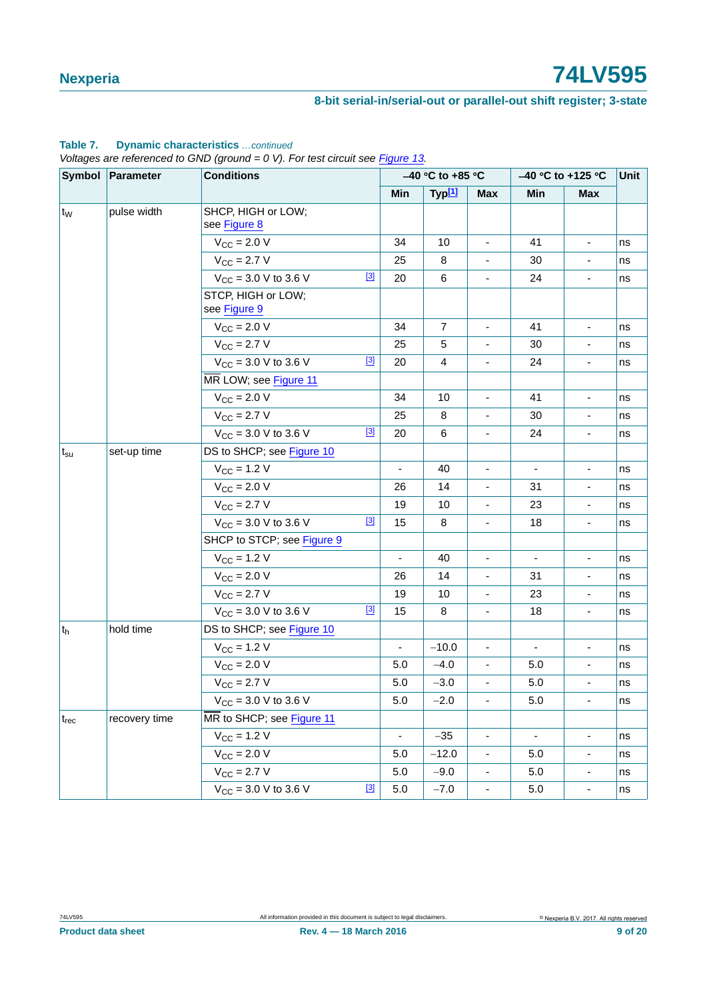|                | Symbol Parameter | <b>Conditions</b>                  |       |                              | $-40$ °C to +85 °C |                              | -40 °C to +125 °C        | Unit                         |    |
|----------------|------------------|------------------------------------|-------|------------------------------|--------------------|------------------------------|--------------------------|------------------------------|----|
|                |                  |                                    |       | Min                          | Typ <sup>[1]</sup> | Max                          | Min                      | <b>Max</b>                   |    |
| $t_{\rm W}$    | pulse width      | SHCP, HIGH or LOW;<br>see Figure 8 |       |                              |                    |                              |                          |                              |    |
|                |                  | $V_{\text{CC}} = 2.0 V$            |       | 34                           | 10                 |                              | 41                       | $\overline{\phantom{a}}$     | ns |
|                |                  | $V_{CC}$ = 2.7 V                   |       | 25                           | 8                  | $\blacksquare$               | 30                       | $\blacksquare$               | ns |
|                |                  | $V_{CC}$ = 3.0 V to 3.6 V          | $[3]$ | 20                           | 6                  | $\overline{a}$               | 24                       | $\overline{\phantom{a}}$     | ns |
|                |                  | STCP, HIGH or LOW;<br>see Figure 9 |       |                              |                    |                              |                          |                              |    |
|                |                  | $V_{CC} = 2.0 V$                   |       | 34                           | $\overline{7}$     | $\frac{1}{2}$                | 41                       | $\blacksquare$               | ns |
|                |                  | $V_{\rm CC} = 2.7 V$               |       | 25                           | 5                  | -                            | 30                       | $\qquad \qquad \blacksquare$ | ns |
|                |                  | $V_{CC}$ = 3.0 V to 3.6 V          | $[3]$ | 20                           | 4                  |                              | 24                       | $\blacksquare$               | ns |
|                |                  | MR LOW; see Figure 11              |       |                              |                    |                              |                          |                              |    |
|                |                  | $V_{\text{CC}}$ = 2.0 V            |       | 34                           | 10                 | $\blacksquare$               | 41                       | $\blacksquare$               | ns |
|                |                  | $V_{\rm CC} = 2.7 V$               |       | 25                           | 8                  | ٠                            | 30                       | $\overline{\phantom{0}}$     | ns |
|                |                  | $V_{CC}$ = 3.0 V to 3.6 V          | $[3]$ | 20                           | 6                  | $\blacksquare$               | 24                       | $\blacksquare$               | ns |
| $t_{\rm su}$   | set-up time      | DS to SHCP; see Figure 10          |       |                              |                    |                              |                          |                              |    |
|                |                  | $V_{CC} = 1.2 V$                   |       | $\blacksquare$               | 40                 | $\blacksquare$               | $\blacksquare$           | $\blacksquare$               | ns |
|                |                  | $V_{CC}$ = 2.0 V                   |       | 26                           | 14                 | $\qquad \qquad \blacksquare$ | 31                       | $\qquad \qquad \blacksquare$ | ns |
|                |                  | $V_{\rm CC} = 2.7 V$               |       | 19                           | 10                 |                              | 23                       | $\qquad \qquad \blacksquare$ | ns |
|                |                  | $V_{CC}$ = 3.0 V to 3.6 V          | [3]   | 15                           | 8                  | $\qquad \qquad \blacksquare$ | 18                       | $\overline{\phantom{0}}$     | ns |
|                |                  | SHCP to STCP; see Figure 9         |       |                              |                    |                              |                          |                              |    |
|                |                  | $V_{CC}$ = 1.2 V                   |       | $\qquad \qquad \blacksquare$ | 40                 | $\qquad \qquad \blacksquare$ | $\overline{\phantom{a}}$ | -                            | ns |
|                |                  | $V_{CC}$ = 2.0 V                   |       | 26                           | 14                 | $\overline{\phantom{a}}$     | 31                       | $\overline{\phantom{a}}$     | ns |
|                |                  | $V_{\rm CC} = 2.7 V$               |       | 19                           | 10                 | $\overline{\phantom{a}}$     | 23                       | $\overline{\phantom{a}}$     | ns |
|                |                  | $V_{CC}$ = 3.0 V to 3.6 V          | [3]   | 15                           | 8                  | $\qquad \qquad \blacksquare$ | 18                       | $\blacksquare$               | ns |
| t <sub>h</sub> | hold time        | DS to SHCP; see Figure 10          |       |                              |                    |                              |                          |                              |    |
|                |                  | $V_{CC}$ = 1.2 V                   |       | $\blacksquare$               | $-10.0$            | $\blacksquare$               | $\blacksquare$           | $\blacksquare$               | ns |
|                |                  | $V_{CC}$ = 2.0 V                   |       | 5.0                          | $-4.0$             | $\qquad \qquad \blacksquare$ | 5.0                      | $\qquad \qquad \blacksquare$ | ns |
|                |                  | $V_{CC} = 2.7 V$                   |       | 5.0                          | $-3.0$             | $\blacksquare$               | 5.0                      | $\qquad \qquad \blacksquare$ | ns |
|                |                  | $V_{\text{CC}}$ = 3.0 V to 3.6 V   |       | 5.0                          | $-2.0$             | $\overline{\phantom{a}}$     | 5.0                      | $\overline{\phantom{a}}$     | ns |
| $t_{rec}$      | recovery time    | MR to SHCP; see Figure 11          |       |                              |                    |                              |                          |                              |    |
|                |                  | $V_{CC}$ = 1.2 V                   |       | $\blacksquare$               | $-35$              | $\qquad \qquad \blacksquare$ | $\overline{\phantom{a}}$ | $\qquad \qquad \blacksquare$ | ns |
|                |                  | $V_{CC} = 2.0 V$                   |       | 5.0                          | $-12.0$            | ÷                            | 5.0                      | $\blacksquare$               | ns |
|                |                  | $V_{CC}$ = 2.7 V                   |       | 5.0                          | $-9.0$             | $\overline{\phantom{a}}$     | 5.0                      | $\overline{\phantom{a}}$     | ns |
|                |                  | $V_{CC}$ = 3.0 V to 3.6 V          | $[3]$ | 5.0                          | $-7.0$             | $\overline{\phantom{a}}$     | 5.0                      | $\blacksquare$               | ns |

### **Table 7. Dynamic characteristics** *…continued*

*Voltages are referenced to GND (ground = 0 V). For test circuit see Figure 13.*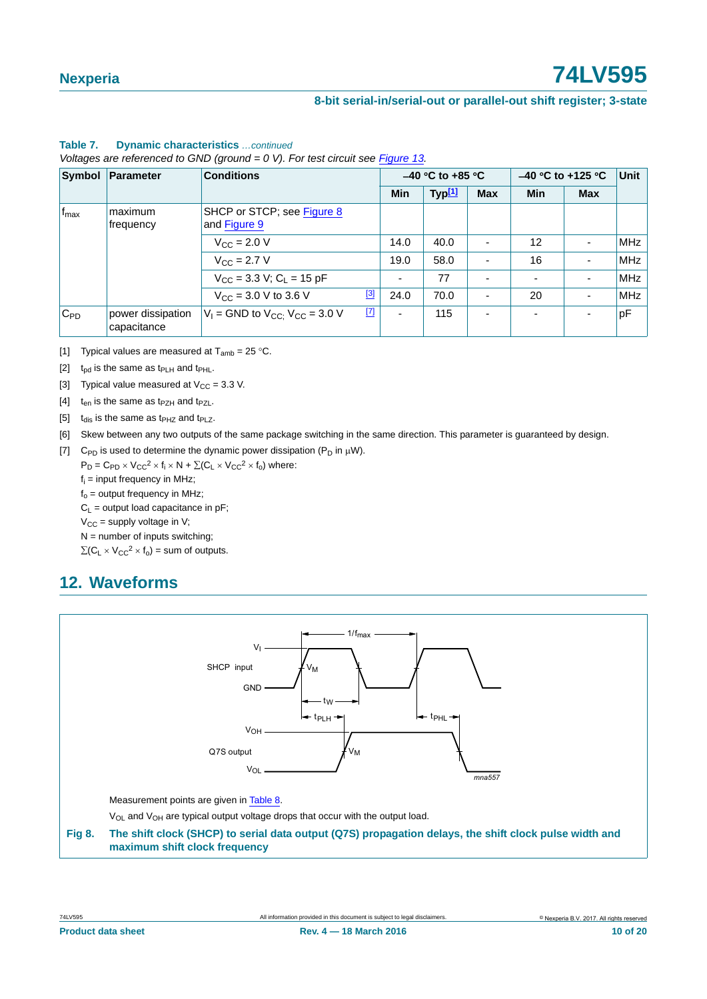|                                          | Symbol Parameter                 | <b>Conditions</b>                                         |            | $-40$ °C to +85 °C |                          | $-40$ °C to +125 °C      |                          | Unit       |
|------------------------------------------|----------------------------------|-----------------------------------------------------------|------------|--------------------|--------------------------|--------------------------|--------------------------|------------|
|                                          |                                  |                                                           | <b>Min</b> | Typ <sup>[1]</sup> | <b>Max</b>               | Min                      | <b>Max</b>               |            |
| $f_{\text{max}}$<br>maximum<br>frequency |                                  | SHCP or STCP; see Figure 8<br>and Figure 9                |            |                    |                          |                          |                          |            |
|                                          |                                  | $V_{\rm CC} = 2.0 V$                                      | 14.0       | 40.0               | $\overline{\phantom{a}}$ | 12                       | $\overline{\phantom{0}}$ | <b>MHz</b> |
|                                          |                                  | $V_{\rm CC}$ = 2.7 V                                      | 19.0       | 58.0               | $\overline{\phantom{a}}$ | 16                       | ٠                        | <b>MHz</b> |
|                                          |                                  | $V_{CC}$ = 3.3 V; C <sub>L</sub> = 15 pF                  | ۰          | 77                 | $\overline{\phantom{a}}$ | $\overline{\phantom{a}}$ | ٠                        | <b>MHz</b> |
|                                          |                                  | [3]<br>$V_{\text{CC}} = 3.0 \text{ V}$ to 3.6 V           | 24.0       | 70.0               | $\blacksquare$           | 20                       | $\overline{\phantom{0}}$ | <b>MHz</b> |
| $C_{PD}$                                 | power dissipation<br>capacitance | $\boxed{7}$<br>$V_1$ = GND to $V_{CC}$ : $V_{CC}$ = 3.0 V |            | 115                | $\blacksquare$           |                          |                          | pF         |

#### **Table 7. Dynamic characteristics** *…continued*

*Voltages are referenced to GND (ground = 0 V). For test circuit see Figure 13.*

<span id="page-9-0"></span>[1] Typical values are measured at  $T_{amb} = 25 \degree C$ .

<span id="page-9-2"></span>[2]  $t_{pd}$  is the same as  $t_{PLH}$  and  $t_{PHL}$ .

<span id="page-9-3"></span>[3] Typical value measured at  $V_{CC} = 3.3$  V.

<span id="page-9-4"></span>[4]  $t_{en}$  is the same as  $t_{PZH}$  and  $t_{PZL}$ .

<span id="page-9-5"></span>[5]  $t_{dis}$  is the same as t<sub>PHZ</sub> and t<sub>PLZ</sub>.

[6] Skew between any two outputs of the same package switching in the same direction. This parameter is guaranteed by design.

<span id="page-9-6"></span>[7] C<sub>PD</sub> is used to determine the dynamic power dissipation (P<sub>D</sub> in  $\mu$ W).

 $P_D = C_{PD} \times V_{CC}^2 \times f_i \times N + \Sigma (C_L \times V_{CC}^2 \times f_o)$  where:

 $f_i$  = input frequency in MHz;

 $f<sub>o</sub>$  = output frequency in MHz;

 $C_L$  = output load capacitance in pF;

 $V_{CC}$  = supply voltage in V;

 $N =$  number of inputs switching;

 $\sum(C_L \times V_{CC}^2 \times f_0) =$  sum of outputs.

### <span id="page-9-7"></span>**12. Waveforms**

<span id="page-9-1"></span>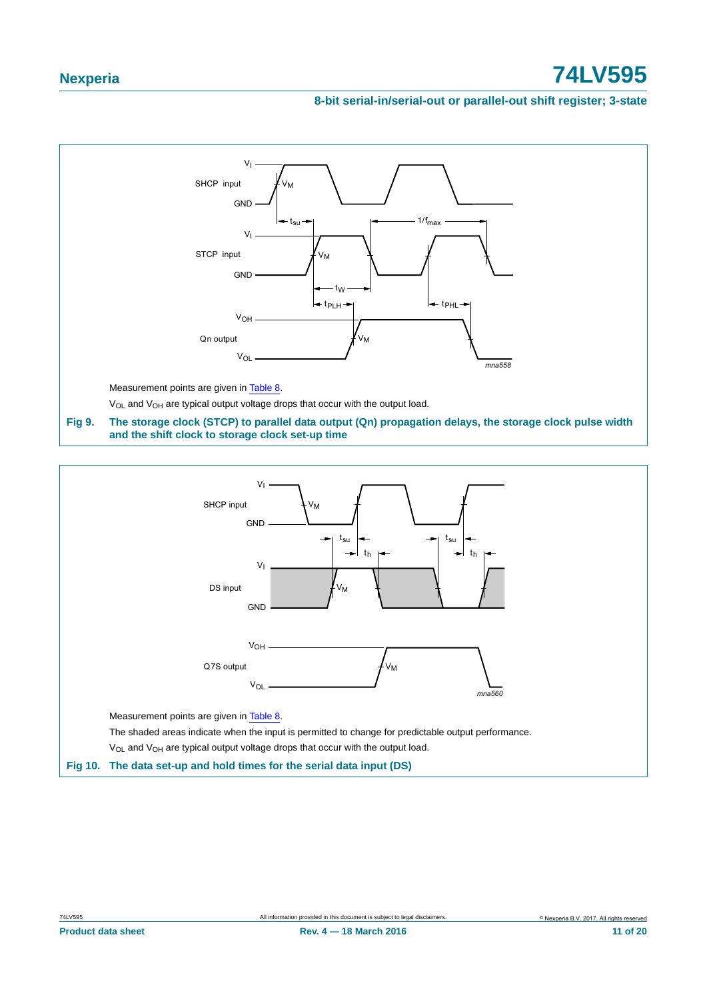### **8-bit serial-in/serial-out or parallel-out shift register; 3-state**



<span id="page-10-1"></span><span id="page-10-0"></span>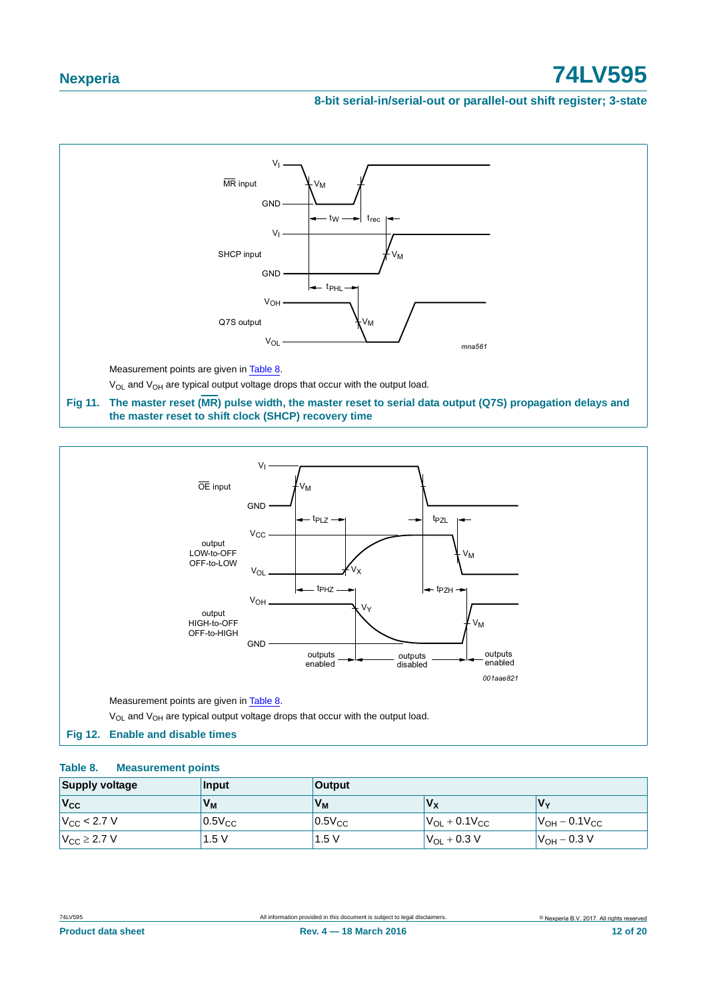### **8-bit serial-in/serial-out or parallel-out shift register; 3-state**



<span id="page-11-0"></span>



### <span id="page-11-1"></span>**Fig 12. Enable and disable times**

#### <span id="page-11-2"></span>**Table 8. Measurement points**

| <b>Supply voltage</b>      | Input       | <b>Output</b> |                         |                         |  |  |  |  |
|----------------------------|-------------|---------------|-------------------------|-------------------------|--|--|--|--|
| $V_{\rm CC}$               | $V_{M}$     | $V_M$         |                         | vν                      |  |  |  |  |
| $V_{\text{CC}}$ < 2.7 V    | $0.5V_{CC}$ | $0.5V_{CC}$   | $V_{OL}$ + 0.1 $V_{CC}$ | $V_{OH}$ – 0.1 $V_{CC}$ |  |  |  |  |
| $V_{\text{CC}} \geq 2.7$ V | 1.5 V       | 1.5V          | $V_{OL}$ + 0.3 V        | $V_{\text{OH}}$ – 0.3 V |  |  |  |  |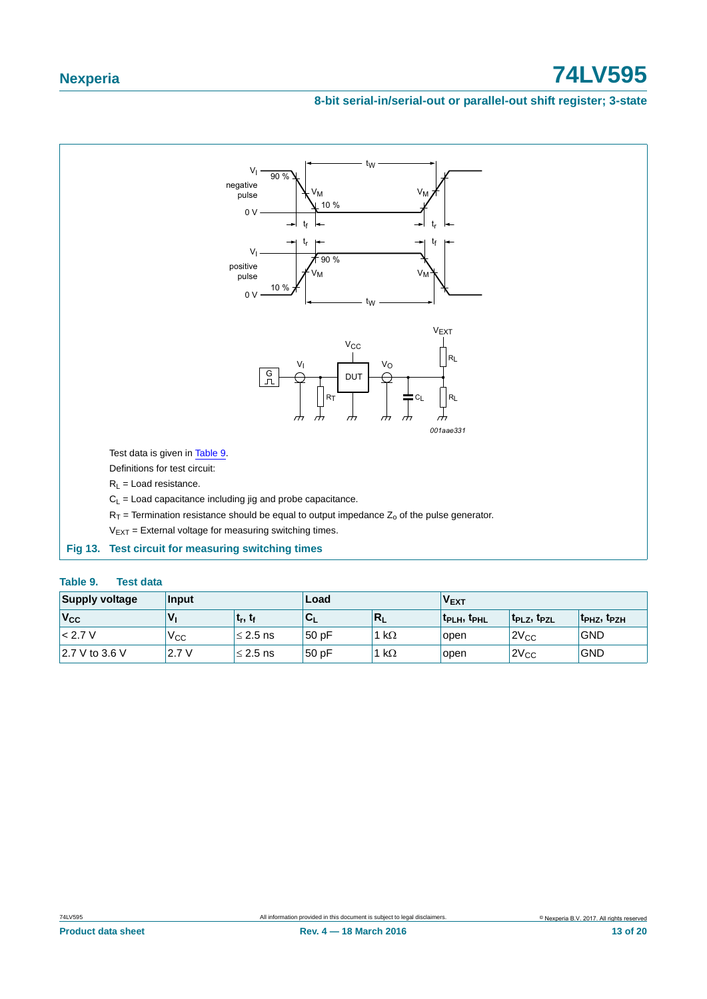### **8-bit serial-in/serial-out or parallel-out shift register; 3-state**



### <span id="page-12-1"></span><span id="page-12-0"></span>**Table 9. Test data**

| <b>Supply voltage</b>  | Input          |                    | Load |                           | V <sub>EXT</sub>   |                                     |                                     |  |
|------------------------|----------------|--------------------|------|---------------------------|--------------------|-------------------------------------|-------------------------------------|--|
| $V_{\rm CC}$           | V <sub>i</sub> | եր, ե <sub>ք</sub> | ΨL   | $\mathsf{R}_{\mathsf{I}}$ | <b>TPLH</b> , TPHL | t <sub>PLZ</sub> , t <sub>PZL</sub> | t <sub>PHZ</sub> , t <sub>PZH</sub> |  |
| < 2.7 V                | $\rm V_{CC}$   | $\leq$ 2.5 ns      | 50pF | $k\Omega$                 | open               | $2V_{\rm CC}$                       | <b>GND</b>                          |  |
| $\vert$ 2.7 V to 3.6 V | 2.7V           | $\leq$ 2.5 ns      | 50pF | $k\Omega$                 | open               | $2V_{\rm CC}$                       | <b>GND</b>                          |  |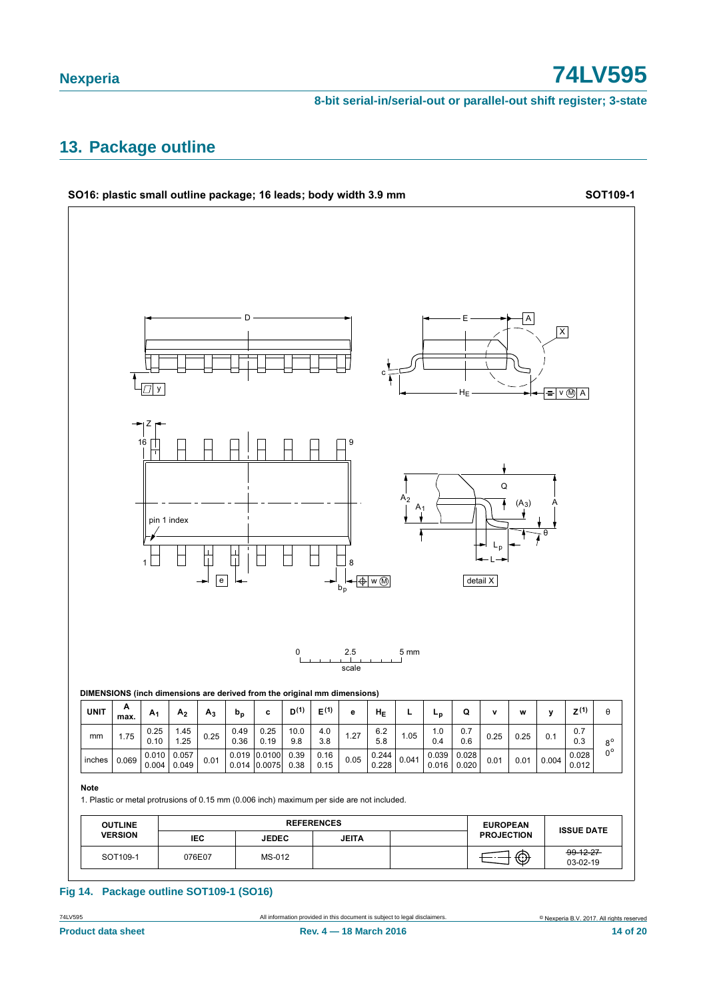# **74LV595**

8-bit serial-in/serial-out or parallel-out shift register; 3-state

# <span id="page-13-0"></span>13. Package outline



### Fig 14. Package outline SOT109-1 (SO16)

All information provided in this document is subject to legal disclaimers

74LV595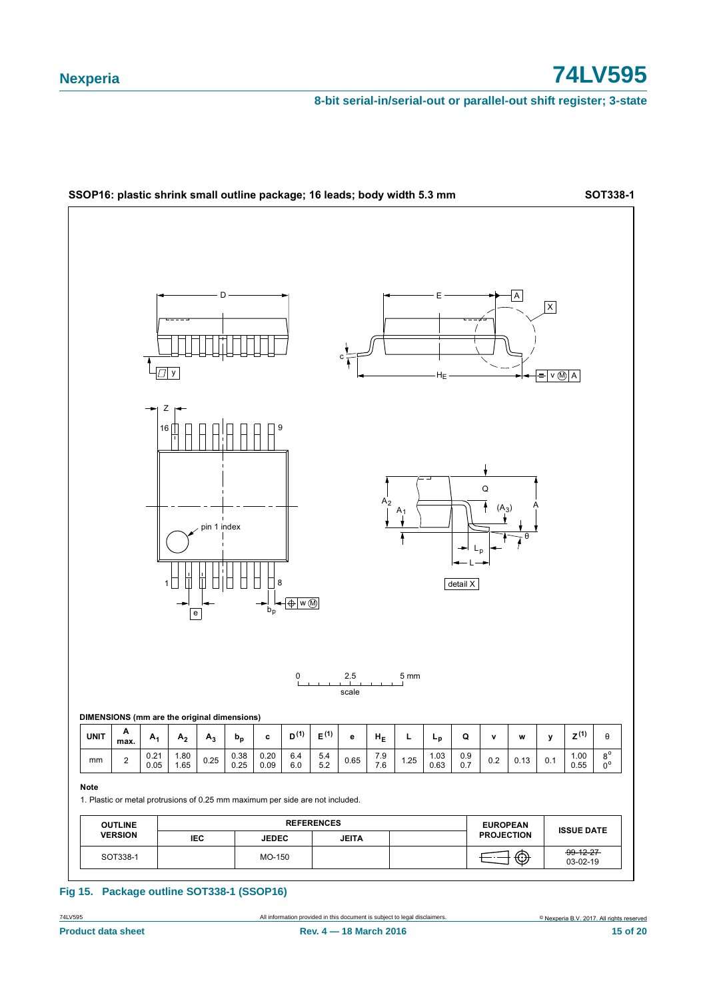# **74LV595**

8-bit serial-in/serial-out or parallel-out shift register; 3-state



#### Fig 15. Package outline SOT338-1 (SSOP16)

All information provided in this document is subject to legal disclaimers

74LV595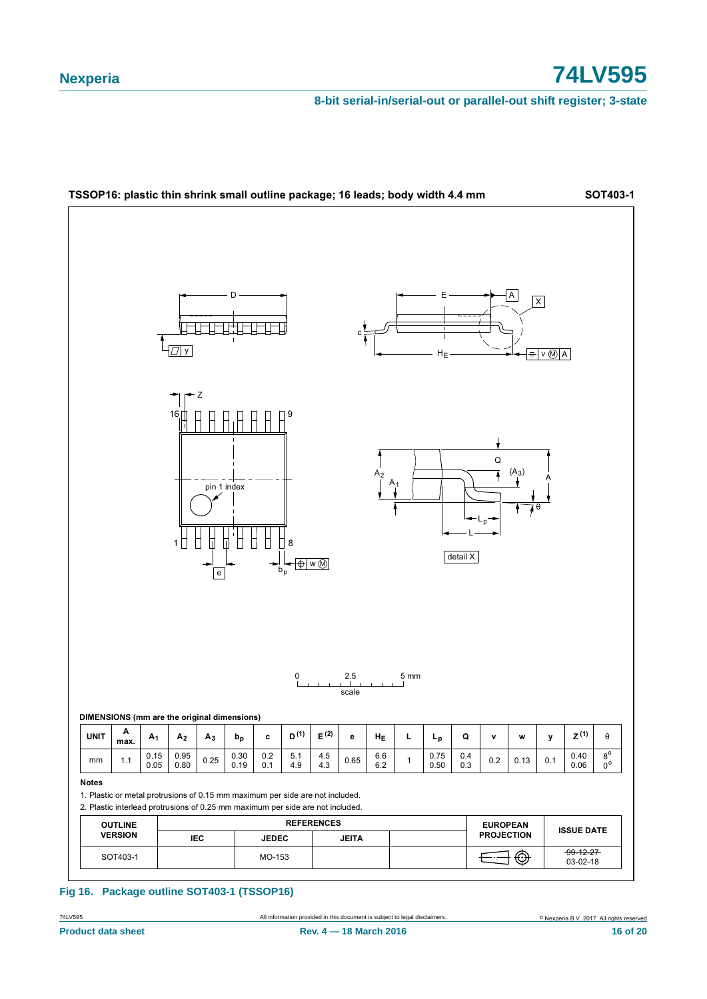# **74LV595**

8-bit serial-in/serial-out or parallel-out shift register; 3-state



#### Fig 16. Package outline SOT403-1 (TSSOP16)

All information provided in this document is subject to legal disclaimers

74LV595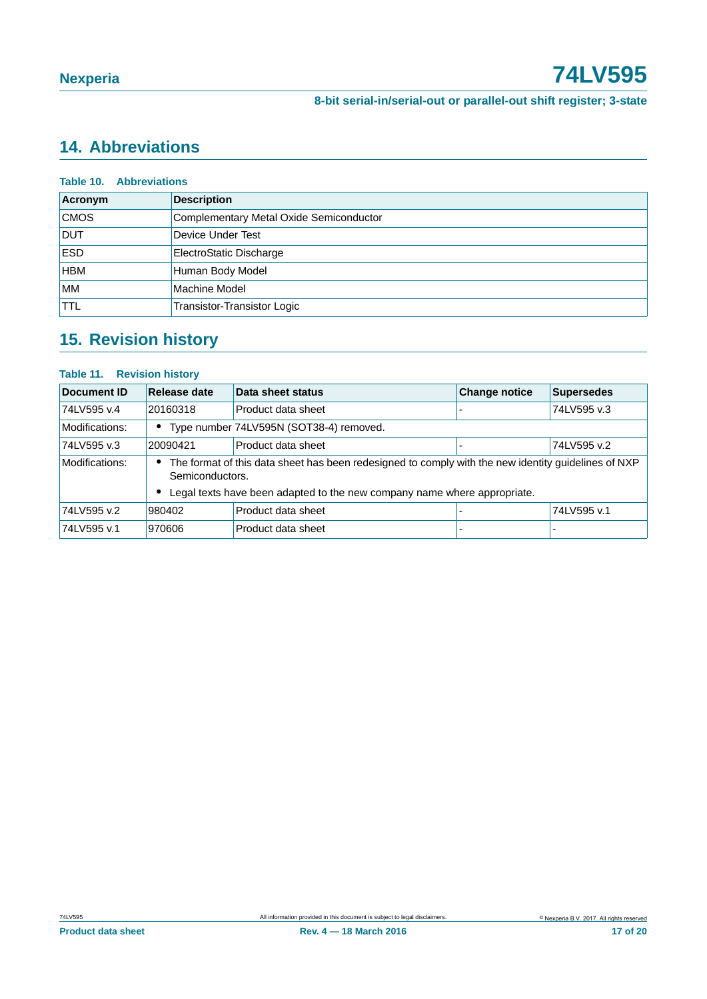# <span id="page-16-0"></span>**14. Abbreviations**

| <b>Table 10. Abbreviations</b> |                                         |  |  |  |  |
|--------------------------------|-----------------------------------------|--|--|--|--|
| Acronym                        | <b>Description</b>                      |  |  |  |  |
| <b>CMOS</b>                    | Complementary Metal Oxide Semiconductor |  |  |  |  |
| DUT                            | Device Under Test                       |  |  |  |  |
| <b>ESD</b>                     | ElectroStatic Discharge                 |  |  |  |  |
| <b>HBM</b>                     | Human Body Model                        |  |  |  |  |
| <b>MM</b>                      | Machine Model                           |  |  |  |  |
| <b>TTL</b>                     | <b>Transistor-Transistor Logic</b>      |  |  |  |  |

# <span id="page-16-1"></span>**15. Revision history**

### **Table 11. Revision history**

| Document ID    | Release date                                                                                                           | Data sheet status                                                        | <b>Change notice</b> | <b>Supersedes</b> |  |  |
|----------------|------------------------------------------------------------------------------------------------------------------------|--------------------------------------------------------------------------|----------------------|-------------------|--|--|
| 74LV595 v.4    | 20160318                                                                                                               | Product data sheet                                                       |                      | 74LV595 v.3       |  |  |
| Modifications: | Type number 74LV595N (SOT38-4) removed.                                                                                |                                                                          |                      |                   |  |  |
| 74LV595 v.3    | 20090421                                                                                                               | Product data sheet                                                       |                      | 74LV595 v.2       |  |  |
| Modifications: | The format of this data sheet has been redesigned to comply with the new identity guidelines of NXP<br>Semiconductors. |                                                                          |                      |                   |  |  |
|                | $\bullet$                                                                                                              | Legal texts have been adapted to the new company name where appropriate. |                      |                   |  |  |
| 74LV595 v.2    | 980402                                                                                                                 | Product data sheet                                                       |                      | 74LV595 v.1       |  |  |
| 74LV595 v.1    | 970606                                                                                                                 | Product data sheet                                                       |                      |                   |  |  |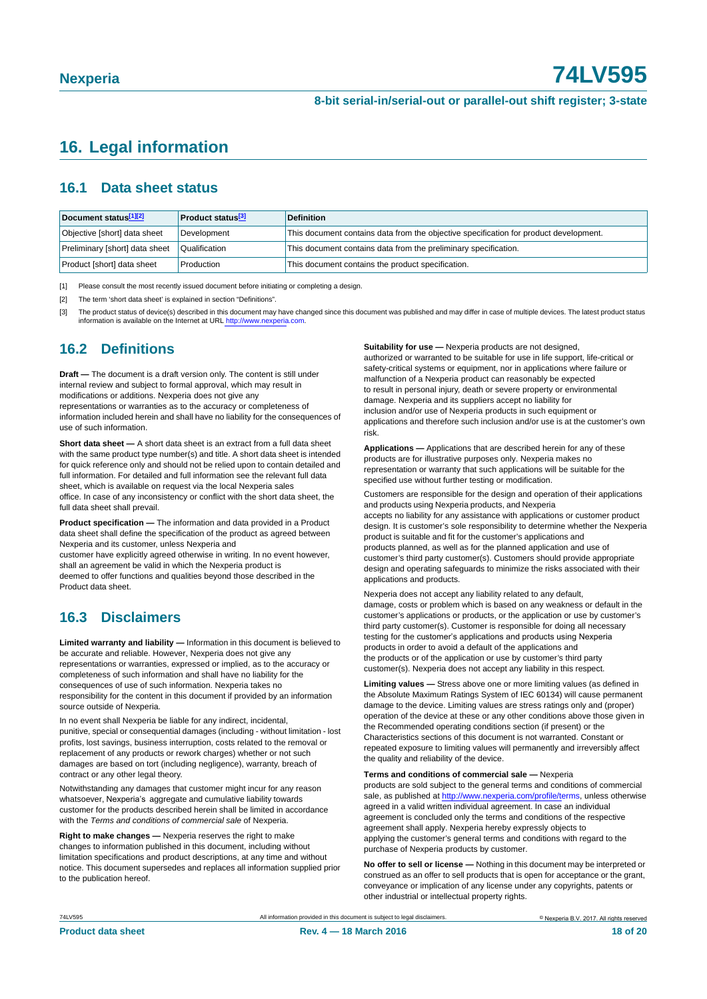# <span id="page-17-3"></span>**16. Legal information**

### <span id="page-17-4"></span>**16.1 Data sheet status**

| Document status[1][2]          | <b>Product status</b> <sup>[3]</sup> | <b>Definition</b>                                                                     |
|--------------------------------|--------------------------------------|---------------------------------------------------------------------------------------|
| Objective [short] data sheet   | Development                          | This document contains data from the objective specification for product development. |
| Preliminary [short] data sheet | Qualification                        | This document contains data from the preliminary specification.                       |
| Product [short] data sheet     | Production                           | This document contains the product specification.                                     |

<span id="page-17-0"></span>[1] Please consult the most recently issued document before initiating or completing a design.

<span id="page-17-1"></span>[2] The term 'short data sheet' is explained in section "Definitions".

<span id="page-17-2"></span>[3] The product status of device(s) described in this document may have changed since this document was published and may differ in case of multiple devices. The latest product status<br>information is available on the Intern

### <span id="page-17-5"></span>**16.2 Definitions**

**Draft —** The document is a draft version only. The content is still under internal review and subject to formal approval, which may result in modifications or additions. Nexperia does not give any

representations or warranties as to the accuracy or completeness of information included herein and shall have no liability for the consequences of use of such information.

**Short data sheet —** A short data sheet is an extract from a full data sheet with the same product type number(s) and title. A short data sheet is intended for quick reference only and should not be relied upon to contain detailed and full information. For detailed and full information see the relevant full data sheet, which is available on request via the local Nexperia sales office. In case of any inconsistency or conflict with the short data sheet, the full data sheet shall prevail.

**Product specification —** The information and data provided in a Product data sheet shall define the specification of the product as agreed between Nexperia and its customer, unless Nexperia and

customer have explicitly agreed otherwise in writing. In no event however, shall an agreement be valid in which the Nexperia product is deemed to offer functions and qualities beyond those described in the Product data sheet.

### <span id="page-17-6"></span>**16.3 Disclaimers**

**Limited warranty and liability —** Information in this document is believed to be accurate and reliable. However, Nexperia does not give any representations or warranties, expressed or implied, as to the accuracy or completeness of such information and shall have no liability for the consequences of use of such information. Nexperia takes no responsibility for the content in this document if provided by an information source outside of Nexperia.

In no event shall Nexperia be liable for any indirect, incidental, punitive, special or consequential damages (including - without limitation - lost profits, lost savings, business interruption, costs related to the removal or replacement of any products or rework charges) whether or not such damages are based on tort (including negligence), warranty, breach of contract or any other legal theory.

Notwithstanding any damages that customer might incur for any reason whatsoever, Nexperia's aggregate and cumulative liability towards customer for the products described herein shall be limited in accordance with the *Terms and conditions of commercial sale* of Nexperia.

**Right to make changes —** Nexperia reserves the right to make changes to information published in this document, including without limitation specifications and product descriptions, at any time and without notice. This document supersedes and replaces all information supplied prior to the publication hereof.

**Suitability for use - Nexperia products are not designed** authorized or warranted to be suitable for use in life support, life-critical or safety-critical systems or equipment, nor in applications where failure or malfunction of a Nexperia product can reasonably be expected to result in personal injury, death or severe property or environmental damage. Nexperia and its suppliers accept no liability for inclusion and/or use of Nexperia products in such equipment or applications and therefore such inclusion and/or use is at the customer's own risk.

**Applications —** Applications that are described herein for any of these products are for illustrative purposes only. Nexperia makes no representation or warranty that such applications will be suitable for the specified use without further testing or modification.

Customers are responsible for the design and operation of their applications and products using Nexperia products, and Nexperia accepts no liability for any assistance with applications or customer product design. It is customer's sole responsibility to determine whether the Nexperia product is suitable and fit for the customer's applications and products planned, as well as for the planned application and use of customer's third party customer(s). Customers should provide appropriate design and operating safeguards to minimize the risks associated with their applications and products.

Nexperia does not accept any liability related to any default, damage, costs or problem which is based on any weakness or default in the customer's applications or products, or the application or use by customer's third party customer(s). Customer is responsible for doing all necessary testing for the customer's applications and products using Nexperia products in order to avoid a default of the applications and the products or of the application or use by customer's third party customer(s). Nexperia does not accept any liability in this respect.

**Limiting values —** Stress above one or more limiting values (as defined in the Absolute Maximum Ratings System of IEC 60134) will cause permanent damage to the device. Limiting values are stress ratings only and (proper) operation of the device at these or any other conditions above those given in the Recommended operating conditions section (if present) or the Characteristics sections of this document is not warranted. Constant or repeated exposure to limiting values will permanently and irreversibly affect the quality and reliability of the device.

**Terms and conditions of commercial sale —** Nexperia

products are sold subject to the general terms and conditions of commercial sale, as published at [http://www.nexperia.com/profile/te](http://www.nexperia.com/profile/terms)rms, unless otherwise agreed in a valid written individual agreement. In case an individual agreement is concluded only the terms and conditions of the respective agreement shall apply. Nexperia hereby expressly objects to applying the customer's general terms and conditions with regard to the purchase of Nexperia products by customer.

**No offer to sell or license —** Nothing in this document may be interpreted or construed as an offer to sell products that is open for acceptance or the grant, conveyance or implication of any license under any copyrights, patents or other industrial or intellectual property rights.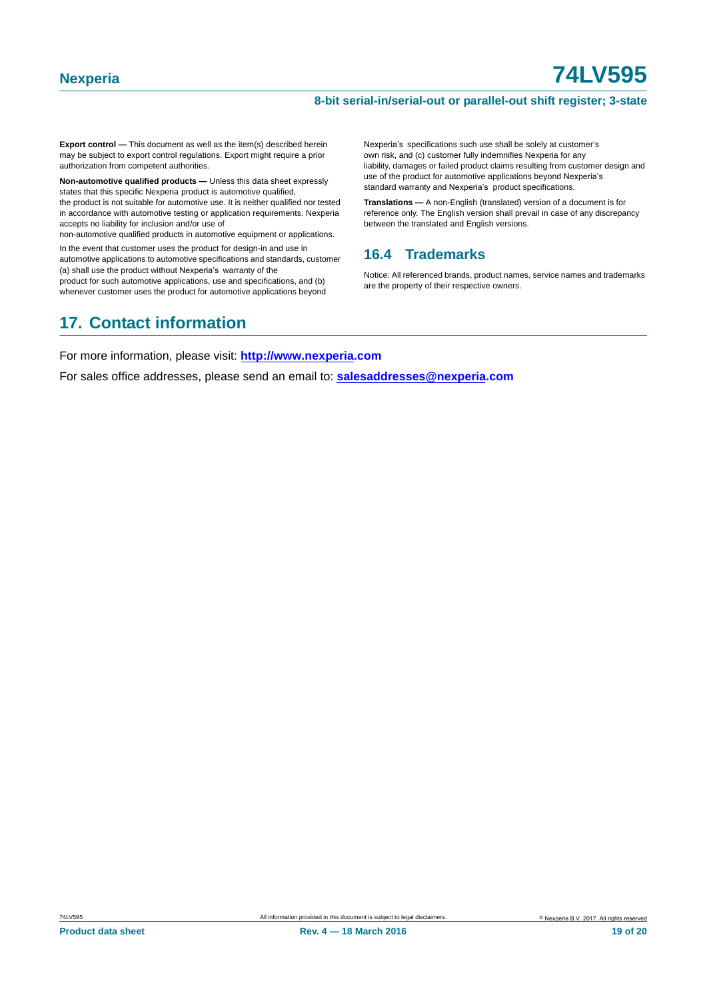### **8-bit serial-in/serial-out or parallel-out shift register; 3-state**

**Export control —** This document as well as the item(s) described herein may be subject to export control regulations. Export might require a prior authorization from competent authorities.

**Non-automotive qualified products —** Unless this data sheet expressly states that this specific Nexperia product is automotive qualified, the product is not suitable for automotive use. It is neither qualified nor tested in accordance with automotive testing or application requirements. Nexperia accepts no liability for inclusion and/or use of

non-automotive qualified products in automotive equipment or applications.

In the event that customer uses the product for design-in and use in automotive applications to automotive specifications and standards, customer (a) shall use the product without Nexperia's warranty of the

product for such automotive applications, use and specifications, and (b) whenever customer uses the product for automotive applications beyond Nexperia's specifications such use shall be solely at customer's own risk, and (c) customer fully indemnifies Nexperia for any liability, damages or failed product claims resulting from customer design and use of the product for automotive applications beyond Nexperia's standard warranty and Nexperia's product specifications.

**Translations —** A non-English (translated) version of a document is for reference only. The English version shall prevail in case of any discrepancy between the translated and English versions.

### <span id="page-18-0"></span>**16.4 Trademarks**

Notice: All referenced brands, product names, service names and trademarks are the property of their respective owners.

# <span id="page-18-1"></span>**17. Contact information**

For more information, please visit: **http://www.nexperia.com**

For sales office addresses, please send an email to: **salesaddresses@nexperia.com**